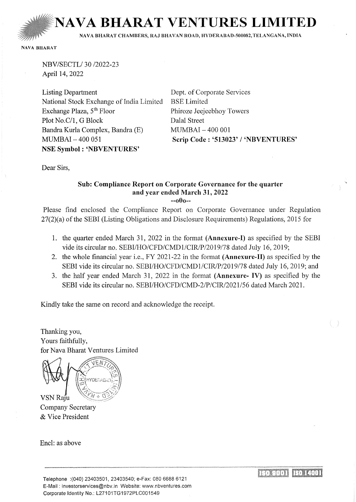**NAVA BHARAT VENTURES LIMIT** 

NA VA BHARAT CHAMBERS, RAJ BHA VAN ROAD, HVDERABAD-500082,TELANGANA, INDIA

NAVA BHARAT

NBV/SECTL/30 /2022-23 April 14, 2022

Listing Department National Stock Exchange of India Limited Exchange Plaza, 5<sup>th</sup> Floor Plot No.C/1, G Block Bandra Kurla Complex, Bandra (E) MUMBAI- 400 051 NSE Symbol : 'NBVENTURES'

Dept. of Corporate Services BSE Limited Phiroze Jeejeebhoy Towers Dalal Street  $MUMBAT - 400001$ Scrip Code: '513023' / 'NBVENTURES'

Dear Sirs,

# Sub: Compliance Report on Corporate Governance for the quarter and year ended March 31,2022

--oOo--

Please find enclosed the Compliance Report on Corporate Governance under Regulation  $27(2)(a)$  of the SEBI (Listing Obligations and Disclosure Requirements) Regulations, 2015 for

- 1. the quarter ended March 31, 2022 in the format (Annexure-I) as specified by the SEBI vide its circular no. SEBI/HO/CFD/CMDl/CIR/P/2019/78 dated July 16, 2019;
- 2. the whole financial year i.e., FY 2021-22 in the format (Annexure-H) as specified by the SEBI vide its circular no. SEBI/HO/CFD/CMD1/CIR/P/2019/78 dated July 16, 2019; and
- 3. the half year ended March 31, 2022 in the format (Annexure- IV) as specified by the SEBI vide its circular no. SEBI/HO/CFD/CMD-2/P/CIR/2021/56 dated March 2021.

Kindly take the same on record and acknowledge the receipt.

Thanking you, Yours faithfully, for Nava Bharat Ventures Limited

VSN Raju

**Company Secretary** & Vice President

Encl: as above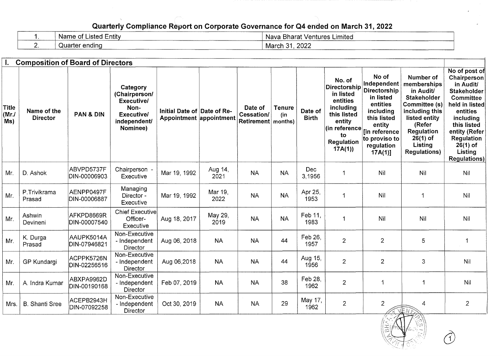# Quarterly Compliance Report on Corporate Governance for Q4 ended on March 31, 2022

|        | Name<br>≘ntitv<br>_isted<br>$\sim$ | Bharat<br>: Ventures Limited<br>Nava |
|--------|------------------------------------|--------------------------------------|
| $\sim$ | Quarter ending                     | 2022<br>$\sim$<br>March              |

| 1.                           | <b>Composition of Board of Directors</b> |                            |                                                                                                         |                                                        |                 |                                     |                                 |                         |                                                                                                                                                     |                                                                                                                                                                   |                                                                                                                                                                                                |                                                                                                                                                                                                                              |
|------------------------------|------------------------------------------|----------------------------|---------------------------------------------------------------------------------------------------------|--------------------------------------------------------|-----------------|-------------------------------------|---------------------------------|-------------------------|-----------------------------------------------------------------------------------------------------------------------------------------------------|-------------------------------------------------------------------------------------------------------------------------------------------------------------------|------------------------------------------------------------------------------------------------------------------------------------------------------------------------------------------------|------------------------------------------------------------------------------------------------------------------------------------------------------------------------------------------------------------------------------|
| <b>Title</b><br>(MrJ)<br>Ms) | Name of the<br><b>Director</b>           | <b>PAN &amp; DIN</b>       | Category<br>(Chairperson/<br><b>Executive/</b><br>Non-<br><b>Executive/</b><br>independent/<br>Nominee) | Initial Date of Date of Re-<br>Appointment appointment |                 | Date of<br>Cessation/<br>Retirement | <b>Tenure</b><br>(in<br>months) | Date of<br><b>Birth</b> | No. of<br>Directorship<br>in listed<br>entities<br>including<br>this listed<br>entity<br>$ $ (in reference $ $<br>to<br><b>Regulation</b><br>17A(1) | No of<br>Independent<br>Directorship<br>in listed<br>entities<br>including<br>this listed<br>entity<br>[in reference<br>to proviso to<br>regulation<br>$17A(1)$ ] | Number of<br>memberships<br>in Audit/<br><b>Stakeholder</b><br>Committee (s)<br>including this<br>listed entity<br>(Refer<br><b>Regulation</b><br>$26(1)$ of<br>Listing<br><b>Regulations)</b> | No of post of<br>Chairperson<br>in Audit/<br><b>Stakeholder</b><br><b>Committee</b><br>held in listed<br>entities<br>including<br>this listed<br>entity (Refer<br><b>Regulation</b><br>$26(1)$ of<br>Listing<br>Regulations) |
| Mr.                          | D. Ashok                                 | ABVPD5737F<br>DIN-00006903 | Chairperson<br>Executive                                                                                | Mar 19, 1992                                           | Aug 14,<br>2021 | <b>NA</b>                           | <b>NA</b>                       | Dec<br>3,1956           |                                                                                                                                                     | Nil                                                                                                                                                               | Nil                                                                                                                                                                                            | Nil                                                                                                                                                                                                                          |
| Mr.                          | P.Trivikrama<br>Prasad                   | AENPP0497F<br>DIN-00006887 | Managing<br>Director -<br>Executive                                                                     | Mar 19, 1992                                           | Mar 19,<br>2022 | <b>NA</b>                           | <b>NA</b>                       | Apr 25,<br>1953         | -1                                                                                                                                                  | Nil                                                                                                                                                               | -1                                                                                                                                                                                             | Nil                                                                                                                                                                                                                          |
| Mr.                          | Ashwin<br>Devineni                       | AFKPD8669R<br>DIN-00007540 | <b>Chief Executive</b><br>Officer-<br>Executive                                                         | Aug 18, 2017                                           | May 29,<br>2019 | <b>NA</b>                           | <b>NA</b>                       | Feb 11.<br>1983         | 1                                                                                                                                                   | Nil                                                                                                                                                               | Nil                                                                                                                                                                                            | Nil                                                                                                                                                                                                                          |
| Mr.                          | K. Durga<br>Prasad                       | AAUPK5014A<br>DIN-07946821 | Non-Executive<br>- Independent<br><b>Director</b>                                                       | Aug 06, 2018                                           | <b>NA</b>       | <b>NA</b>                           | 44                              | Feb 26,<br>1957         | $\overline{2}$                                                                                                                                      | $\overline{2}$                                                                                                                                                    | 5                                                                                                                                                                                              | 1                                                                                                                                                                                                                            |
| Mr.                          | GP Kundargi                              | ACPPK5726N<br>DIN-02256516 | Non-Executive<br>- Independent<br><b>Director</b>                                                       | Aug 06,2018                                            | <b>NA</b>       | <b>NA</b>                           | 44                              | Aug 15,<br>1956         | $\overline{2}$                                                                                                                                      | $\overline{2}$                                                                                                                                                    | 3                                                                                                                                                                                              | Nil                                                                                                                                                                                                                          |
| Mr.                          | A. Indra Kumar                           | ABXPA9962D<br>DIN-00190168 | Non-Executive<br>- Independent<br>Director                                                              | Feb 07, 2019                                           | <b>NA</b>       | <b>NA</b>                           | 38                              | Feb 28,<br>1962         | $\overline{2}$                                                                                                                                      | $\overline{1}$                                                                                                                                                    | 1                                                                                                                                                                                              | Nil                                                                                                                                                                                                                          |
| Mrs.                         | <b>B.</b> Shanti Sree                    | ACEPB2943H<br>DIN-07092258 | Non-Executive<br>- Independent<br>Director                                                              | Oct 30, 2019                                           | <b>NA</b>       | <b>NA</b>                           | 29                              | May 17,<br>1962         | $\overline{2}$                                                                                                                                      | $\overline{c}$                                                                                                                                                    | 4<br><b>EVENE</b>                                                                                                                                                                              | $\overline{2}$                                                                                                                                                                                                               |

 $\mathcal{M}$  .  $\mathbf{A}$  ,  $\mathcal{M}$  ,  $\mathcal{M}$  ,  $\mathcal{M}$  ,  $\mathcal{M}$ 

d)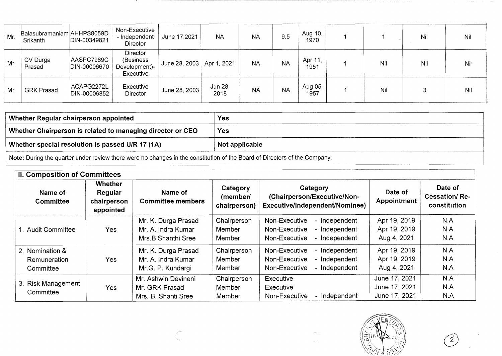| Mr. | Balasubramaniam AHHPS8059D<br>Srikanth | DIN-00349821               | Non-Executive<br>- Independent<br><b>Director</b>    | June 17,2021  | <b>NA</b>       | <b>NA</b> | 9.5       | Aug 10,<br>1970 |     | Nil | Nil |
|-----|----------------------------------------|----------------------------|------------------------------------------------------|---------------|-----------------|-----------|-----------|-----------------|-----|-----|-----|
| Mr. | CV Durga<br>Prasad                     | AASPC7969C<br>DIN-00006670 | Director<br>(Business)<br>Development)-<br>Executive | June 28, 2003 | Apr 1, 2021     | <b>NA</b> | <b>NA</b> | Apr 11,<br>1951 | Nil | Nil | Nil |
| Mr. | <b>GRK Prasad</b>                      | ACAPG2272L<br>DIN-00006852 | Executive<br>Director                                | June 28, 2003 | Jun 28,<br>2018 | <b>NA</b> | <b>NA</b> | Aug 05,<br>1957 | Nil |     | Nil |

| Whether Regular chairperson appointed                                                                                     | <b>Yes</b> |  |  |  |
|---------------------------------------------------------------------------------------------------------------------------|------------|--|--|--|
| Whether Chairperson is related to managing director or CEO                                                                | <b>Yes</b> |  |  |  |
| Whether special resolution is passed U/R 17 (1A)<br>Not applicable                                                        |            |  |  |  |
| Note: During the quarter under review there were no changes in the constitution of the Board of Directors of the Company. |            |  |  |  |

| <b>II. Composition of Committees</b>         |                                                       |                                                                 |                                      |                                                                                                    |                                                 |                                                 |  |  |  |
|----------------------------------------------|-------------------------------------------------------|-----------------------------------------------------------------|--------------------------------------|----------------------------------------------------------------------------------------------------|-------------------------------------------------|-------------------------------------------------|--|--|--|
| Name of<br><b>Committee</b>                  | <b>Whether</b><br>Regular<br>chairperson<br>appointed | Name of<br><b>Committee members</b>                             | Category<br>(member/<br>chairperson) | Category<br>(Chairperson/Executive/Non-<br>Executive/independent/Nominee)                          | Date of<br><b>Appointment</b>                   | Date of<br><b>Cessation/Re-</b><br>constitution |  |  |  |
| . Audit Committee                            | <b>Yes</b>                                            | Mr. K. Durga Prasad<br>Mr. A. Indra Kumar<br>Mrs.B Shanthi Sree | Chairperson<br>Member<br>Member      | Non-Executive<br>- Independent<br>- Independent<br>Non-Executive<br>- Independent<br>Non-Executive | Apr 19, 2019<br>Apr 19, 2019<br>Aug 4, 2021     | N.A<br>N.A<br>N.A                               |  |  |  |
| 2. Nomination &<br>Remuneration<br>Committee | <b>Yes</b>                                            | Mr. K. Durga Prasad<br>Mr. A. Indra Kumar<br>Mr.G. P. Kundargi  | Chairperson<br>Member<br>Member      | Non-Executive<br>- Independent<br>- Independent<br>Non-Executive<br>- Independent<br>Non-Executive | Apr 19, 2019<br>Apr 19, 2019<br>Aug 4, 2021     | N.A<br>N.A<br>N.A                               |  |  |  |
| 3. Risk Management<br>Committee              | Yes                                                   | Mr. Ashwin Devineni<br>Mr. GRK Prasad<br>Mrs. B. Shanti Sree    | Chairperson<br>Member<br>Member      | Executive<br><b>Executive</b><br>Non-Executive<br>- Independent                                    | June 17, 2021<br>June 17, 2021<br>June 17, 2021 | N.A<br>N.A<br>N.A                               |  |  |  |



 $\overline{2}$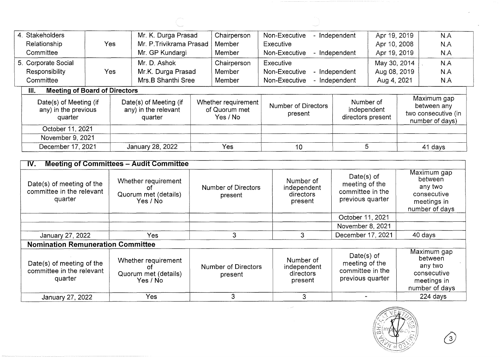|  | 4. Stakeholders                                           |                                      | Mr. K. Durga Prasad                                       |                                    | Chairperson                                      | Non-Executive                         | - Independent | Apr 19, 2019                                  |     | N.A                                                                  |
|--|-----------------------------------------------------------|--------------------------------------|-----------------------------------------------------------|------------------------------------|--------------------------------------------------|---------------------------------------|---------------|-----------------------------------------------|-----|----------------------------------------------------------------------|
|  | <b>Yes</b><br>Relationship<br>Committee                   |                                      |                                                           | Mr. P. Trivikrama Prasad<br>Member |                                                  | Executive                             |               | Apr 10, 2008                                  |     | N.A                                                                  |
|  |                                                           |                                      | Mr. GP Kundargi                                           | Member                             |                                                  | Non-Executive                         | - Independent | Apr 19, 2019                                  |     | N.A                                                                  |
|  | 5. Corporate Social                                       |                                      | Mr. D. Ashok                                              |                                    | Chairperson                                      | Executive                             | May 30, 2014  |                                               | N.A |                                                                      |
|  | Responsibility                                            | <b>Yes</b>                           | Mr.K. Durga Prasad                                        |                                    | Member                                           | Non-Executive                         | - Independent | Aug 08, 2019                                  |     | N.A                                                                  |
|  | Committee                                                 |                                      | Mrs.B Shanthi Sree                                        |                                    | Member                                           | Non-Executive                         | - Independent | Aug 4, 2021                                   |     | N.A                                                                  |
|  | III.                                                      | <b>Meeting of Board of Directors</b> |                                                           |                                    |                                                  |                                       |               |                                               |     |                                                                      |
|  | Date(s) of Meeting (if<br>any) in the previous<br>quarter |                                      | Date(s) of Meeting (if<br>any) in the relevant<br>quarter |                                    | Whether requirement<br>of Quorum met<br>Yes / No | <b>Number of Directors</b><br>present |               | Number of<br>independent<br>directors present |     | Maximum gap<br>between any<br>two consecutive (in<br>number of days) |
|  | October 11, 2021                                          |                                      |                                                           |                                    |                                                  |                                       |               |                                               |     |                                                                      |
|  | November 9, 2021                                          |                                      |                                                           |                                    |                                                  |                                       |               |                                               |     |                                                                      |
|  | December 17, 2021                                         |                                      | January 28, 2022                                          |                                    | Yes                                              | 10                                    |               | 5                                             |     | 41 days                                                              |

| IV.                                                               | <b>Meeting of Committees - Audit Committee</b>                |                                       |                                                  |                                                                         |                                                                                   |  |  |  |
|-------------------------------------------------------------------|---------------------------------------------------------------|---------------------------------------|--------------------------------------------------|-------------------------------------------------------------------------|-----------------------------------------------------------------------------------|--|--|--|
| Date(s) of meeting of the<br>committee in the relevant<br>quarter | Whether requirement<br>Οt<br>Quorum met (details)<br>Yes / No | <b>Number of Directors</b><br>present | Number of<br>independent<br>directors<br>present | Date $(s)$ of<br>meeting of the<br>committee in the<br>previous quarter | Maximum gap<br>between<br>any two<br>consecutive<br>meetings in<br>number of days |  |  |  |
|                                                                   |                                                               |                                       |                                                  | October 11, 2021                                                        |                                                                                   |  |  |  |
|                                                                   |                                                               |                                       |                                                  | November 8, 2021                                                        |                                                                                   |  |  |  |
| January 27, 2022                                                  | Yes                                                           | 3                                     | 3                                                | December 17, 2021                                                       | 40 days                                                                           |  |  |  |
| <b>Nomination Remuneration Committee</b>                          |                                                               |                                       |                                                  |                                                                         |                                                                                   |  |  |  |
| Date(s) of meeting of the<br>committee in the relevant<br>quarter | Whether requirement<br>0f<br>Quorum met (details)<br>Yes / No | <b>Number of Directors</b><br>present | Number of<br>independent<br>directors<br>present | Date $(s)$ of<br>meeting of the<br>committee in the<br>previous quarter | Maximum gap<br>between<br>any two<br>consecutive<br>meetings in<br>number of days |  |  |  |
| January 27, 2022                                                  | <b>Yes</b>                                                    | 3                                     | 3                                                |                                                                         | 224 days                                                                          |  |  |  |

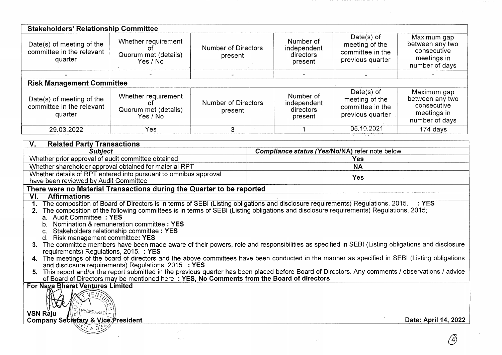| <b>Stakeholders' Relationship Committee</b>                                                                                                     |                                                                                                                                                                                                                                                                                                                                                                                                                                                                                   |                                       |           |                                                  |                                                                         |                                                                                |  |  |
|-------------------------------------------------------------------------------------------------------------------------------------------------|-----------------------------------------------------------------------------------------------------------------------------------------------------------------------------------------------------------------------------------------------------------------------------------------------------------------------------------------------------------------------------------------------------------------------------------------------------------------------------------|---------------------------------------|-----------|--------------------------------------------------|-------------------------------------------------------------------------|--------------------------------------------------------------------------------|--|--|
| Date(s) of meeting of the<br>committee in the relevant<br>quarter                                                                               | Whether requirement<br>of<br>Quorum met (details)<br>Yes / No                                                                                                                                                                                                                                                                                                                                                                                                                     | <b>Number of Directors</b><br>present |           | Number of<br>independent<br>directors<br>present | Date $(s)$ of<br>meeting of the<br>committee in the<br>previous quarter | Maximum gap<br>between any two<br>consecutive<br>meetings in<br>number of days |  |  |
|                                                                                                                                                 |                                                                                                                                                                                                                                                                                                                                                                                                                                                                                   |                                       |           |                                                  |                                                                         |                                                                                |  |  |
| <b>Risk Management Committee</b><br>Date(s) of meeting of the<br>committee in the relevant<br>quarter                                           | Whether requirement<br>of.<br>Quorum met (details)<br>Yes / No                                                                                                                                                                                                                                                                                                                                                                                                                    | <b>Number of Directors</b><br>present |           | Number of<br>independent<br>directors<br>present | Date $(s)$ of<br>meeting of the<br>committee in the<br>previous quarter | Maximum gap<br>between any two<br>consecutive<br>meetings in<br>number of days |  |  |
| 29.03.2022                                                                                                                                      | Yes                                                                                                                                                                                                                                                                                                                                                                                                                                                                               | 3                                     |           |                                                  | 05.10.2021                                                              | 174 days                                                                       |  |  |
| <b>Related Party Transactions</b><br>V.<br><b>Subject</b>                                                                                       |                                                                                                                                                                                                                                                                                                                                                                                                                                                                                   |                                       |           |                                                  | Compliance status (Yes/No/NA) refer note below                          |                                                                                |  |  |
| Whether prior approval of audit committee obtained                                                                                              |                                                                                                                                                                                                                                                                                                                                                                                                                                                                                   |                                       |           |                                                  | Yes                                                                     |                                                                                |  |  |
|                                                                                                                                                 | Whether shareholder approval obtained for material RPT                                                                                                                                                                                                                                                                                                                                                                                                                            |                                       | <b>NA</b> |                                                  |                                                                         |                                                                                |  |  |
| have been reviewed by Audit Committee                                                                                                           | Whether details of RPT entered into pursuant to omnibus approval                                                                                                                                                                                                                                                                                                                                                                                                                  |                                       |           |                                                  | <b>Yes</b>                                                              |                                                                                |  |  |
| There were no Material Transactions during the Quarter to be reported                                                                           |                                                                                                                                                                                                                                                                                                                                                                                                                                                                                   |                                       |           |                                                  |                                                                         |                                                                                |  |  |
| VI.<br><b>Affirmations</b>                                                                                                                      |                                                                                                                                                                                                                                                                                                                                                                                                                                                                                   |                                       |           |                                                  |                                                                         |                                                                                |  |  |
| 1.<br>a. Audit Committee: YES<br>c. Stakeholders relationship committee: YES<br>d. Risk management committee: YES                               | The composition of Board of Directors is in terms of SEBI (Listing obligations and disclosure requirements) Regulations, 2015. : YES<br>The composition of the following committees is in terms of SEBI (Listing obligations and disclosure requirements) Requlations. 2015:<br>b. Nomination & remuneration committee : YES<br>3. The committee members have been made aware of their powers, role and responsibilities as specified in SEBI (Listing obligations and disclosure |                                       |           |                                                  |                                                                         |                                                                                |  |  |
| requirements) Regulations, 2015. : YES                                                                                                          |                                                                                                                                                                                                                                                                                                                                                                                                                                                                                   |                                       |           |                                                  |                                                                         |                                                                                |  |  |
|                                                                                                                                                 | 4. The meetings of the board of directors and the above committees have been conducted in the manner as specified in SEBI (Listing obligations<br>and disclosure requirements) Regulations, 2015. : YES                                                                                                                                                                                                                                                                           |                                       |           |                                                  |                                                                         |                                                                                |  |  |
| 5.                                                                                                                                              | This report and/or the report submitted in the previous quarter has been placed before Board of Directors. Any comments / observations / advice<br>of Board of Directors may be mentioned here: YES, No Comments from the Board of directors                                                                                                                                                                                                                                      |                                       |           |                                                  |                                                                         |                                                                                |  |  |
| <b>For Naxa Bharat Ventures Limited</b><br>조<br>HYDERABAD)<br>VSN Råju<br>Date: April 14, 2022<br><b>Company Secretary &amp; Vice President</b> |                                                                                                                                                                                                                                                                                                                                                                                                                                                                                   |                                       |           |                                                  |                                                                         |                                                                                |  |  |
|                                                                                                                                                 |                                                                                                                                                                                                                                                                                                                                                                                                                                                                                   |                                       |           |                                                  |                                                                         |                                                                                |  |  |
|                                                                                                                                                 |                                                                                                                                                                                                                                                                                                                                                                                                                                                                                   |                                       |           |                                                  |                                                                         |                                                                                |  |  |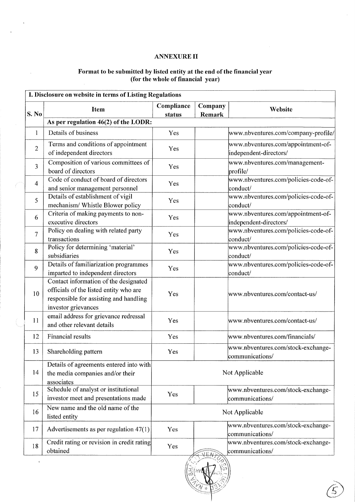# ANNEXURE II

 $\bar{\mathcal{A}}$ 

 $\sim$ 

 $\bar{\alpha}$ 

#### Format to be submitted by listed entity at the end of the financial year (for the whole of financial year)

| S. No          | <b>Item</b>                                                                                                                                      | Compliance<br>status | Company<br>Remark | Website                                                      |
|----------------|--------------------------------------------------------------------------------------------------------------------------------------------------|----------------------|-------------------|--------------------------------------------------------------|
|                | As per regulation 46(2) of the LODR:                                                                                                             |                      |                   |                                                              |
| $\mathbf{1}$   | Details of business                                                                                                                              | Yes                  |                   | www.nbventures.com/company-profile/                          |
| $\overline{2}$ | Terms and conditions of appointment<br>of independent directors                                                                                  | Yes                  |                   | www.nbventures.com/appointment-of-<br>independent-directors/ |
| 3              | Composition of various committees of<br>board of directors                                                                                       | Yes                  |                   | www.nbventures.com/management-<br>profile/                   |
| $\overline{4}$ | Code of conduct of board of directors<br>and senior management personnel                                                                         | Yes                  |                   | www.nbventures.com/policies-code-of-<br> conduct/            |
| 5              | Details of establishment of vigil<br>mechanism/ Whistle Blower policy                                                                            | Yes                  |                   | www.nbventures.com/policies-code-of-<br>conduct/             |
| 6              | Criteria of making payments to non-<br>executive directors                                                                                       | Yes                  |                   | www.nbventures.com/appointment-of-<br>independent-directors/ |
| 7              | Policy on dealing with related party<br>transactions                                                                                             | Yes                  |                   | www.nbventures.com/policies-code-of-<br>conduct/             |
| 8              | Policy for determining 'material'<br>subsidiaries                                                                                                | Yes                  |                   | www.nbventures.com/policies-code-of-<br>conduct/             |
| 9              | Details of familiarization programmes<br>imparted to independent directors                                                                       | Yes                  |                   | www.nbventures.com/policies-code-of-<br>conduct/             |
| 10             | Contact information of the designated<br>officials of the listed entity who are<br>responsible for assisting and handling<br>investor grievances | Yes                  |                   | www.nbventures.com/contact-us/                               |
| 11             | email address for grievance redressal<br>and other relevant details                                                                              | Yes                  |                   | www.nbventures.com/contact-us/                               |
| 12             | Financial results                                                                                                                                | Yes                  |                   | www.nbventures.com/financials/                               |
| 13             | Shareholding pattern                                                                                                                             | Yes                  |                   | www.nbventures.com/stock-exchange-<br>communications/        |
| 14             | Details of agreements entered into with<br>the media companies and/or their<br>associates                                                        |                      |                   | Not Applicable                                               |
| 15             | Schedule of analyst or institutional<br>investor meet and presentations made                                                                     | Yes                  |                   | www.nbventures.com/stock-exchange-<br>communications/        |
| 16             | New name and the old name of the<br>listed entity                                                                                                |                      |                   | Not Applicable                                               |
| 17             | Advertisements as per regulation $47(1)$                                                                                                         | Yes                  |                   | www.nbventures.com/stock-exchange-<br>communications/        |
| 18             | Credit rating or revision in credit rating<br>obtained                                                                                           | Yes                  |                   | www.nbventures.com/stock-exchange-<br>communications/        |

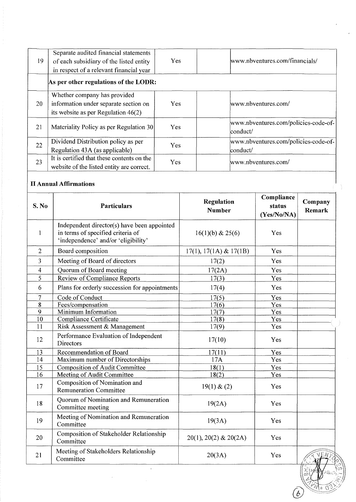| 19 | Separate audited financial statements<br>of each subsidiary of the listed entity<br>in respect of a relevant financial year | Yes | www.nbventures.com/financials/                            |
|----|-----------------------------------------------------------------------------------------------------------------------------|-----|-----------------------------------------------------------|
|    | As per other regulations of the LODR:                                                                                       |     |                                                           |
| 20 | Whether company has provided<br>information under separate section on<br>its website as per Regulation $46(2)$              | Yes | www.nbventures.com/                                       |
| 21 | Materiality Policy as per Regulation 30                                                                                     | Yes | www.nbventures.com/policies-code-of-<br>conduct/          |
| 22 | Dividend Distribution policy as per<br>Regulation 43A (as applicable)                                                       | Yes | www.nbventures.com/policies-code-of-<br>$\text{conduct}/$ |
| 23 | It is certified that these contents on the<br>website of the listed entity are correct.                                     | Yes | www.nbventures.com/                                       |

# **II Annual Affirmations**

| S. No          | <b>Particulars</b>                                                                                                      | <b>Regulation</b><br><b>Number</b> | Compliance<br>status<br>(Yes/No/NA) | Company<br>Remark |
|----------------|-------------------------------------------------------------------------------------------------------------------------|------------------------------------|-------------------------------------|-------------------|
| 1              | Independent director(s) have been appointed<br>in terms of specified criteria of<br>'independence' and/or 'eligibility' | 16(1)(b) & 25(6)                   | Yes                                 |                   |
| $\overline{2}$ | Board composition                                                                                                       | 17(1), 17(1A) & 17(1B)             | Yes                                 |                   |
| 3              | Meeting of Board of directors                                                                                           | 17(2)                              | Yes                                 |                   |
| 4              | Quorum of Board meeting                                                                                                 | 17(2A)                             | Yes                                 |                   |
| 5              | <b>Review of Compliance Reports</b>                                                                                     | 17(3)                              | Yes                                 |                   |
| 6              | Plans for orderly succession for appointments                                                                           | 17(4)                              | Yes                                 |                   |
| $\overline{7}$ | Code of Conduct                                                                                                         | 17(5)                              | Yes                                 |                   |
| 8              | Fees/compensation                                                                                                       | 17(6)                              | Yes                                 |                   |
| 9              | Minimum Information                                                                                                     | 17(7)                              | Yes                                 |                   |
| 10             | Compliance Certificate                                                                                                  | 17(8)                              | Yes                                 |                   |
| 11             | Risk Assessment & Management                                                                                            | 17(9)                              | Yes                                 |                   |
| 12             | Performance Evaluation of Independent<br><b>Directors</b>                                                               | 17(10)                             | Yes                                 |                   |
| 13             | Recommendation of Board                                                                                                 | 17(11)                             | Yes                                 |                   |
| 14             | Maximum number of Directorships                                                                                         | 17A                                | Yes                                 |                   |
| 15             | <b>Composition of Audit Committee</b>                                                                                   | 18(1)                              | Yes                                 |                   |
| 16             | <b>Meeting of Audit Committee</b>                                                                                       | 18(2)                              | Yes                                 |                   |
| 17             | Composition of Nomination and<br><b>Remuneration Committee</b>                                                          | 19(1) & (2)                        | Yes                                 |                   |
| 18             | Quorum of Nomination and Remuneration<br>Committee meeting                                                              | 19(2A)                             | Yes                                 |                   |
| 19             | Meeting of Nomination and Remuneration<br>Committee                                                                     | 19(3A)                             | Yes                                 |                   |
| 20             | Composition of Stakeholder Relationship<br>Committee                                                                    | $20(1)$ , $20(2)$ & $20(2)$        | Yes                                 |                   |
| 21             | Meeting of Stakeholders Relationship<br>Committee                                                                       | 20(3A)                             | Yes                                 |                   |
|                | $\epsilon$                                                                                                              |                                    |                                     | $\overline{c}$    |

 $\bigcirc$ 

 $W^* \cup W^*$ ... •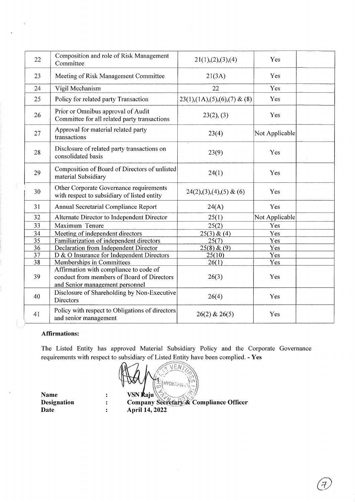| 22 | Composition and role of Risk Management<br>Committee                                                                    | 21(1),(2),(3),(4)              | Yes            |
|----|-------------------------------------------------------------------------------------------------------------------------|--------------------------------|----------------|
| 23 | Meeting of Risk Management Committee                                                                                    | 21(3A)                         | Yes            |
| 24 | Vigil Mechanism                                                                                                         | 22                             | Yes            |
| 25 | Policy for related party Transaction                                                                                    | $23(1),(1A),(5),(6),(7)$ & (8) | Yes            |
| 26 | Prior or Omnibus approval of Audit<br>Committee for all related party transactions                                      | 23(2), (3)                     | Yes            |
| 27 | Approval for material related party<br>transactions                                                                     | 23(4)                          | Not Applicable |
| 28 | Disclosure of related party transactions on<br>consolidated basis                                                       | 23(9)                          | Yes            |
| 29 | Composition of Board of Directors of unlisted<br>material Subsidiary                                                    | 24(1)                          | Yes            |
| 30 | Other Corporate Governance requirements<br>with respect to subsidiary of listed entity                                  | $24(2),(3),(4),(5)$ & (6)      | Yes            |
| 31 | Annual Secretarial Compliance Report                                                                                    | 24(A)                          | Yes            |
| 32 | Alternate Director to Independent Director                                                                              | 25(1)                          | Not Applicable |
| 33 | Maximum Tenure                                                                                                          | 25(2)                          | Yes            |
| 34 | Meeting of independent directors                                                                                        | 25(3) & (4)                    | Yes            |
| 35 | Familiarization of independent directors                                                                                | 25(7)                          | Yes            |
| 36 | Declaration from Independent Director                                                                                   | 25(8) & (9)                    | Yes            |
| 37 | D & O Insurance for Independent Directors                                                                               | 25(10)                         | Yes            |
| 38 | Memberships in Committees                                                                                               | 26(1)                          | Yes            |
| 39 | Affirmation with compliance to code of<br>conduct from members of Board of Directors<br>and Senior management personnel | 26(3)                          | Yes            |
| 40 | Disclosure of Shareholding by Non-Executive<br><b>Directors</b>                                                         | 26(4)                          | Yes            |
| 41 | Policy with respect to Obligations of directors<br>and senior management                                                | $26(2)$ & $26(5)$              | Yes            |

## **Affirmations:**

l,

The Listed Entity has approved Material Subsidiary Policy and the Corporate Governance requirements with respect to subsidiary of Listed Entity have been complied. - **Yes** 

 $\widehat{\phantom{m}}$   $\widehat{\phantom{m}}$   $\widehat{\phantom{m}}$   $\widehat{\phantom{m}}$   $\widehat{\phantom{m}}$   $\widehat{\phantom{m}}$   $\widehat{\phantom{m}}$   $\widehat{\phantom{m}}$   $\widehat{\phantom{m}}$   $\widehat{\phantom{m}}$   $\widehat{\phantom{m}}$   $\widehat{\phantom{m}}$   $\widehat{\phantom{m}}$   $\widehat{\phantom{m}}$   $\widehat{\phantom{m}}$   $\widehat{\phantom{m}}$   $\widehat{\phantom{m}}$   $\widehat{\phantom{m}}$   $\widehat{\$  $\mathbb{Z}$  in  $\mathcal{U}\left(\mathbb{E}\left(HYDEFA B_{AD}\right)_{CD}\right)$  $\mathbf{VSN} \mathbf{A}$ aju $\left\langle \left\langle \left\langle \right\rangle \right\rangle _{i,j} \right\rangle$ 

**Name Designation Date** 

 $\ddot{\cdot}$  $\ddot{\cdot}$  $\ddot{\cdot}$ 

 $\Gamma$ Company Secretary & Compliance Officer **April14, 2022** 

 $\bigl(\not\!\!\! E\bigl)$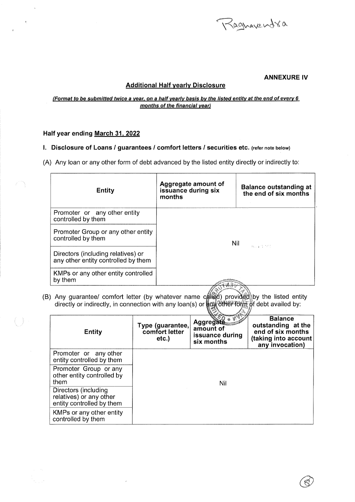

### ANNEXURE IV

## Additional Half yearly Disclosure

#### (Format to be submitted twice a year, on a half yearly basis by the listed entity at the end of every 6 months of the financial year)

#### Half year ending March 31, 2022

I. Disclosure of Loans / guarantees / comfort letters / securities etc. (refer note below)

(A) Any loan or any other form of debt advanced by the listed entity directly or indirectly to:

| <b>Entity</b>                                                             | Aggregate amount of<br>issuance during six<br>months | <b>Balance outstanding at</b><br>the end of six months |
|---------------------------------------------------------------------------|------------------------------------------------------|--------------------------------------------------------|
| Promoter or any other entity<br>controlled by them                        | Nil<br>Casuality Herr                                |                                                        |
| Promoter Group or any other entity<br>controlled by them                  |                                                      |                                                        |
| Directors (including relatives) or<br>any other entity controlled by them |                                                      |                                                        |
| KMPs or any other entity controlled<br>by them                            |                                                      |                                                        |

(B) Any guarantee/ comfort letter (by whatever name directly or indirectly, in connection with any loan(s) or

| <b>Entity</b>                                                                | Type (guarantee,<br>comfort letter<br>etc. | <b>Aggregate</b><br>amount of<br>issuance during<br>six months | <b>Balance</b><br>outstanding at the<br>end of six months<br>(taking into account<br>any invocation) |  |
|------------------------------------------------------------------------------|--------------------------------------------|----------------------------------------------------------------|------------------------------------------------------------------------------------------------------|--|
| Promoter or any other<br>entity controlled by them                           |                                            |                                                                |                                                                                                      |  |
| Promoter Group or any<br>other entity controlled by<br>them                  | Nil                                        |                                                                |                                                                                                      |  |
| Directors (including<br>relatives) or any other<br>entity controlled by them |                                            |                                                                |                                                                                                      |  |
| KMPs or any other entity<br>controlled by them                               |                                            |                                                                |                                                                                                      |  |